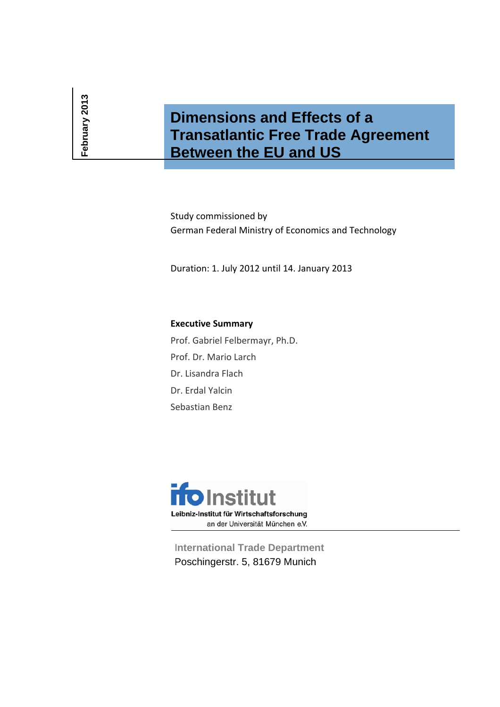# **Dimensions and Effects of a Transatlantic Free Trade Agreement Between the EU and US**

Study commissioned by German Federal Ministry of Economics and Technology

Duration: 1. July 2012 until 14. January 2013

# **Executive Summary**

Prof. Gabriel Felbermayr, Ph.D. Prof. Dr. Mario Larch Dr. Lisandra Flach Dr. Erdal Yalcin Sebastian Benz



**International Trade Department** Poschingerstr. 5, 81679 Munich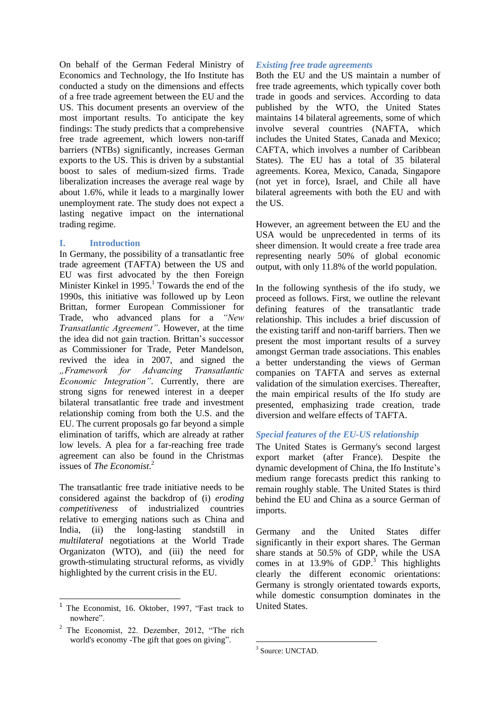On behalf of the German Federal Ministry of Economics and Technology, the Ifo Institute has conducted a study on the dimensions and effects of a free trade agreement between the EU and the US. This document presents an overview of the most important results. To anticipate the key findings: The study predicts that a comprehensive free trade agreement, which lowers non-tariff barriers (NTBs) significantly, increases German exports to the US. This is driven by a substantial boost to sales of medium-sized firms. Trade liberalization increases the average real wage by about 1.6%, while it leads to a marginally lower unemployment rate. The study does not expect a lasting negative impact on the international trading regime.

## **I. Introduction**

In Germany, the possibility of a transatlantic free trade agreement (TAFTA) between the US and EU was first advocated by the then Foreign Minister Kinkel in  $1995<sup>1</sup>$  Towards the end of the 1990s, this initiative was followed up by Leon Brittan, former European Commissioner for Trade, who advanced plans for a *"New Transatlantic Agreement"*. However, at the time the idea did not gain traction. Brittan's successor as Commissioner for Trade, Peter Mandelson, revived the idea in 2007, and signed the *"Framework for Advancing Transatlantic Economic Integration"*. Currently, there are strong signs for renewed interest in a deeper bilateral transatlantic free trade and investment relationship coming from both the U.S. and the EU. The current proposals go far beyond a simple elimination of tariffs, which are already at rather low levels. A plea for a far-reaching free trade agreement can also be found in the Christmas issues of *The Economist*. 2

The transatlantic free trade initiative needs to be considered against the backdrop of (i) *eroding competitiveness* of industrialized countries relative to emerging nations such as China and India, (ii) the long-lasting standstill in *multilateral* negotiations at the World Trade Organizaton (WTO), and (iii) the need for growth-stimulating structural reforms, as vividly highlighted by the current crisis in the EU.

 $\overline{\phantom{a}}$ 

## *Existing free trade agreements*

Both the EU and the US maintain a number of free trade agreements, which typically cover both trade in goods and services. According to data published by the WTO, the United States maintains 14 bilateral agreements, some of which involve several countries (NAFTA, which includes the United States, Canada and Mexico; CAFTA, which involves a number of Caribbean States). The EU has a total of 35 bilateral agreements. Korea, Mexico, Canada, Singapore (not yet in force), Israel, and Chile all have bilateral agreements with both the EU and with the US.

However, an agreement between the EU and the USA would be unprecedented in terms of its sheer dimension. It would create a free trade area representing nearly 50% of global economic output, with only 11.8% of the world population.

In the following synthesis of the ifo study, we proceed as follows. First, we outline the relevant defining features of the transatlantic trade relationship. This includes a brief discussion of the existing tariff and non-tariff barriers. Then we present the most important results of a survey amongst German trade associations. This enables a better understanding the views of German companies on TAFTA and serves as external validation of the simulation exercises. Thereafter, the main empirical results of the Ifo study are presented, emphasizing trade creation, trade diversion and welfare effects of TAFTA.

# *Special features of the EU-US relationship*

The United States is Germany's second largest export market (after France). Despite the dynamic development of China, the Ifo Institute's medium range forecasts predict this ranking to remain roughly stable. The United States is third behind the EU and China as a source German of imports.

Germany and the United States differ significantly in their export shares. The German share stands at 50.5% of GDP, while the USA comes in at  $13.9\%$  of GDP.<sup>3</sup> This highlights clearly the different economic orientations: Germany is strongly orientated towards exports, while domestic consumption dominates in the United States.

<sup>1</sup> The Economist, 16. Oktober, 1997, "Fast track to nowhere".

<sup>&</sup>lt;sup>2</sup> The Economist, 22. Dezember, 2012, "The rich world's economy -The gift that goes on giving".

**<sup>.</sup>** <sup>3</sup> Source: UNCTAD.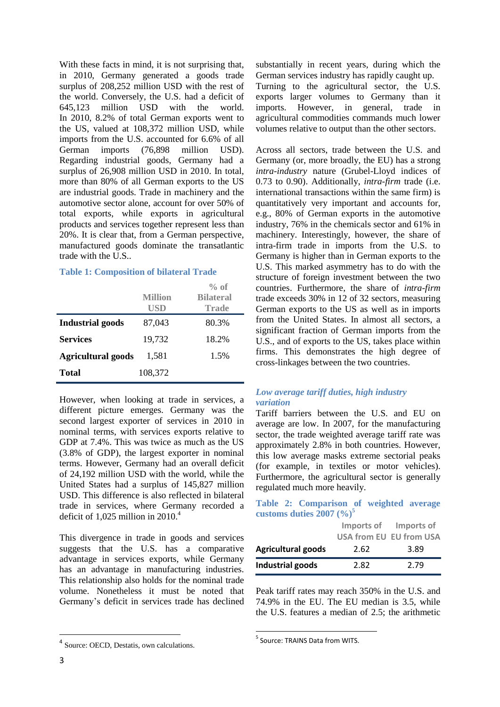With these facts in mind, it is not surprising that, in 2010, Germany generated a goods trade surplus of 208,252 million USD with the rest of the world. Conversely, the U.S. had a deficit of 645,123 million USD with the world. In 2010, 8.2% of total German exports went to the US, valued at 108,372 million USD, while imports from the U.S. accounted for 6.6% of all German imports (76,898 million USD). Regarding industrial goods, Germany had a surplus of 26,908 million USD in 2010. In total, more than 80% of all German exports to the US are industrial goods. Trade in machinery and the automotive sector alone, account for over 50% of total exports, while exports in agricultural products and services together represent less than 20%. It is clear that, from a German perspective, manufactured goods dominate the transatlantic trade with the U.S..

## **Table 1: Composition of bilateral Trade**

|                           | <b>Million</b><br>USD | $\%$ of<br><b>Bilateral</b><br>Trade |
|---------------------------|-----------------------|--------------------------------------|
| <b>Industrial goods</b>   | 87,043                | 80.3%                                |
| <b>Services</b>           | 19,732                | 18.2%                                |
| <b>Agricultural goods</b> | 1,581                 | 1.5%                                 |
| <b>Total</b>              | 108,372               |                                      |

However, when looking at trade in services, a different picture emerges. Germany was the second largest exporter of services in 2010 in nominal terms, with services exports relative to GDP at 7.4%. This was twice as much as the US (3.8% of GDP), the largest exporter in nominal terms. However, Germany had an overall deficit of 24,192 million USD with the world, while the United States had a surplus of 145,827 million USD. This difference is also reflected in bilateral trade in services, where Germany recorded a deficit of 1,025 million in 2010. 4

This divergence in trade in goods and services suggests that the U.S. has a comparative advantage in services exports, while Germany has an advantage in manufacturing industries. This relationship also holds for the nominal trade volume. Nonetheless it must be noted that Germany's deficit in services trade has declined

substantially in recent years, during which the German services industry has rapidly caught up. Turning to the agricultural sector, the U.S. exports larger volumes to Germany than it imports. However, in general, trade in agricultural commodities commands much lower volumes relative to output than the other sectors.

Across all sectors, trade between the U.S. and Germany (or, more broadly, the EU) has a strong *intra-industry* nature (Grubel-Lloyd indices of 0.73 to 0.90). Additionally, *intra-firm* trade (i.e. international transactions within the same firm) is quantitatively very important and accounts for, e.g., 80% of German exports in the automotive industry, 76% in the chemicals sector and 61% in machinery. Interestingly, however, the share of intra-firm trade in imports from the U.S. to Germany is higher than in German exports to the U.S. This marked asymmetry has to do with the structure of foreign investment between the two countries. Furthermore, the share of *intra-firm* trade exceeds 30% in 12 of 32 sectors, measuring German exports to the US as well as in imports from the United States. In almost all sectors, a significant fraction of German imports from the U.S., and of exports to the US, takes place within firms. This demonstrates the high degree of cross-linkages between the two countries.

## *Low average tariff duties, high industry variation*

Tariff barriers between the U.S. and EU on average are low. In 2007, for the manufacturing sector, the trade weighted average tariff rate was approximately 2.8% in both countries. However, this low average masks extreme sectorial peaks (for example, in textiles or motor vehicles). Furthermore, the agricultural sector is generally regulated much more heavily.

## **Table 2: Comparison of weighted average**  customs duties  $2007 (%)^5$

|                           |      | Imports of Imports of<br><b>USA from EU EU from USA</b> |
|---------------------------|------|---------------------------------------------------------|
| <b>Agricultural goods</b> | 2.62 | 3.89                                                    |
| Industrial goods          | 2.82 | 2.79                                                    |

Peak tariff rates may reach 350% in the U.S. and 74.9% in the EU. The EU median is 3.5, while the U.S. features a median of 2.5; the arithmetic

**.** 

<sup>&</sup>lt;sup>4</sup> Source: OECD, Destatis, own calculations.

 5 Source: TRAINS Data from WITS.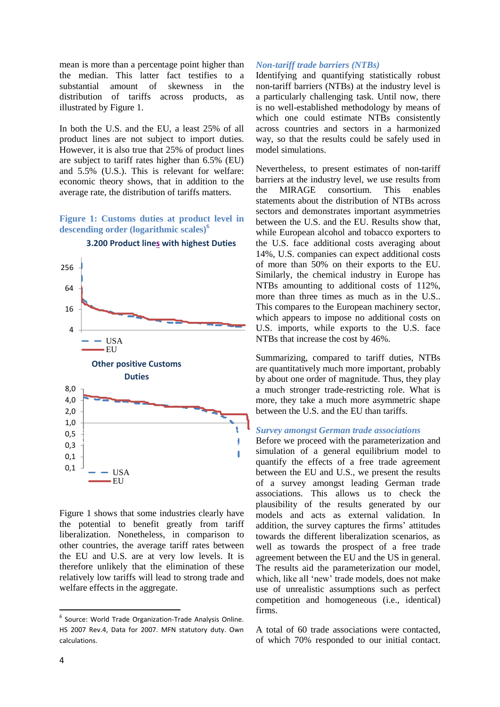mean is more than a percentage point higher than the median. This latter fact testifies to a substantial amount of skewness in the distribution of tariffs across products, as illustrated by Figure 1.

In both the U.S. and the EU, a least 25% of all product lines are not subject to import duties. However, it is also true that 25% of product lines are subject to tariff rates higher than 6.5% (EU) and 5.5% (U.S.). This is relevant for welfare: economic theory shows, that in addition to the average rate, the distribution of tariffs matters.

## **Figure 1: Customs duties at product level in descending order (logarithmic scales)<sup>6</sup>**



**3.200 Product lines with highest Duties**

Figure 1 shows that some industries clearly have the potential to benefit greatly from tariff liberalization. Nonetheless, in comparison to other countries, the average tariff rates between the EU and U.S. are at very low levels. It is therefore unlikely that the elimination of these relatively low tariffs will lead to strong trade and welfare effects in the aggregate.

#### *Non-tariff trade barriers (NTBs)*

Identifying and quantifying statistically robust non-tariff barriers (NTBs) at the industry level is a particularly challenging task. Until now, there is no well-established methodology by means of which one could estimate NTBs consistently across countries and sectors in a harmonized way, so that the results could be safely used in model simulations.

Nevertheless, to present estimates of non-tariff barriers at the industry level, we use results from the MIRAGE consortium. This enables statements about the distribution of NTBs across sectors and demonstrates important asymmetries between the U.S. and the EU. Results show that, while European alcohol and tobacco exporters to the U.S. face additional costs averaging about 14%, U.S. companies can expect additional costs of more than 50% on their exports to the EU. Similarly, the chemical industry in Europe has NTBs amounting to additional costs of 112%, more than three times as much as in the U.S.. This compares to the European machinery sector, which appears to impose no additional costs on U.S. imports, while exports to the U.S. face NTBs that increase the cost by 46%.

Summarizing, compared to tariff duties, NTBs are quantitatively much more important, probably by about one order of magnitude. Thus, they play a much stronger trade-restricting role. What is more, they take a much more asymmetric shape between the U.S. and the EU than tariffs.

## *Survey amongst German trade associations*

Before we proceed with the parameterization and simulation of a general equilibrium model to quantify the effects of a free trade agreement between the EU and U.S., we present the results of a survey amongst leading German trade associations. This allows us to check the plausibility of the results generated by our models and acts as external validation. In addition, the survey captures the firms' attitudes towards the different liberalization scenarios, as well as towards the prospect of a free trade agreement between the EU and the US in general. The results aid the parameterization our model, which, like all 'new' trade models, does not make use of unrealistic assumptions such as perfect competition and homogeneous (i.e., identical) firms.

A total of 60 trade associations were contacted, of which 70% responded to our initial contact.

**.** 

<sup>&</sup>lt;sup>6</sup> Source: World Trade Organization-Trade Analysis Online. HS 2007 Rev.4, Data for 2007. MFN statutory duty. Own calculations.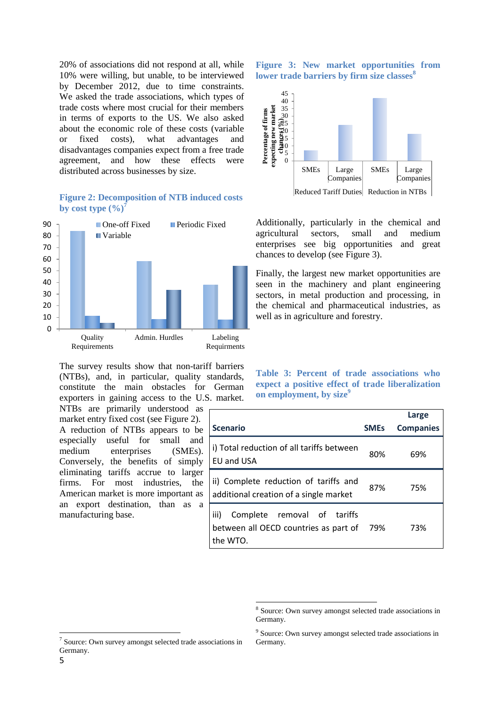20% of associations did not respond at all, while 10% were willing, but unable, to be interviewed by December 2012, due to time constraints. We asked the trade associations, which types of trade costs where most crucial for their members in terms of exports to the US. We also asked about the economic role of these costs (variable or fixed costs), what advantages and disadvantages companies expect from a free trade agreement, and how these effects were distributed across businesses by size.

#### **Figure 2: Decomposition of NTB induced costs**  by cost type  $(\%)^7$



The survey results show that non-tariff barriers (NTBs), and, in particular, quality standards, constitute the main obstacles for German exporters in gaining access to the U.S. market.

NTBs are primarily understood as market entry fixed cost (see Figure 2). A reduction of NTBs appears to be especially useful for small and medium enterprises (SMEs). Conversely, the benefits of simply eliminating tariffs accrue to larger firms. For most industries, the American market is more important as an export destination, than as a manufacturing base.

**Figure 3: New market opportunities from lower trade barriers by firm size classes<sup>8</sup>**



Additionally, particularly in the chemical and agricultural sectors, small and medium enterprises see big opportunities and great chances to develop (see Figure 3).

Finally, the largest new market opportunities are seen in the machinery and plant engineering sectors, in metal production and processing, in the chemical and pharmaceutical industries, as well as in agriculture and forestry.

**Table 3: Percent of trade associations who expect a positive effect of trade liberalization on employment, by size<sup>9</sup>**

|                                                                                          |             | Large            |
|------------------------------------------------------------------------------------------|-------------|------------------|
| <b>Scenario</b>                                                                          | <b>SMES</b> | <b>Companies</b> |
| i) Total reduction of all tariffs between<br>EU and USA                                  | 80%         | 69%              |
| ii) Complete reduction of tariffs and<br>additional creation of a single market          | 87%         | 75%              |
| iii)<br>Complete removal of tariffs<br>between all OECD countries as part of<br>the WTO. | 79%         | 73%              |

1

1

<sup>8</sup> Source: Own survey amongst selected trade associations in Germany.

<sup>&</sup>lt;sup>7</sup> Source: Own survey amongst selected trade associations in Germany.

<sup>&</sup>lt;sup>9</sup> Source: Own survey amongst selected trade associations in Germany.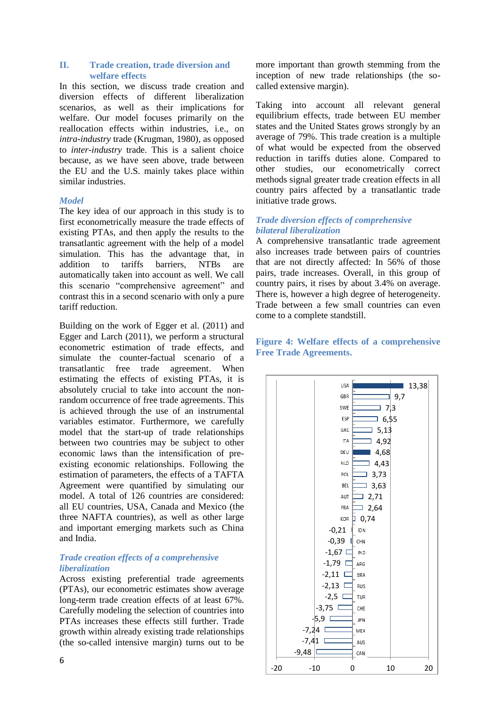#### **II. Trade creation, trade diversion and welfare effects**

In this section, we discuss trade creation and diversion effects of different liberalization scenarios, as well as their implications for welfare. Our model focuses primarily on the reallocation effects within industries, i.e., on *intra-industry* trade (Krugman, 1980), as opposed to *inter-industry* trade. This is a salient choice because, as we have seen above, trade between the EU and the U.S. mainly takes place within similar industries.

## *Model*

The key idea of our approach in this study is to first econometrically measure the trade effects of existing PTAs, and then apply the results to the transatlantic agreement with the help of a model simulation. This has the advantage that, in addition to tariffs barriers, NTBs are automatically taken into account as well. We call this scenario "comprehensive agreement" and contrast this in a second scenario with only a pure tariff reduction.

Building on the work of Egger et al. (2011) and Egger and Larch (2011), we perform a structural econometric estimation of trade effects, and simulate the counter-factual scenario of a transatlantic free trade agreement. When estimating the effects of existing PTAs, it is absolutely crucial to take into account the nonrandom occurrence of free trade agreements. This is achieved through the use of an instrumental variables estimator. Furthermore, we carefully model that the start-up of trade relationships between two countries may be subject to other economic laws than the intensification of preexisting economic relationships. Following the estimation of parameters, the effects of a TAFTA Agreement were quantified by simulating our model. A total of 126 countries are considered: all EU countries, USA, Canada and Mexico (the three NAFTA countries), as well as other large and important emerging markets such as China and India.

## *Trade creation effects of a comprehensive liberalization*

Across existing preferential trade agreements (PTAs), our econometric estimates show average long-term trade creation effects of at least 67%. Carefully modeling the selection of countries into PTAs increases these effects still further. Trade growth within already existing trade relationships (the so-called intensive margin) turns out to be

Taking into account all relevant general equilibrium effects, trade between EU member states and the United States grows strongly by an average of 79%. This trade creation is a multiple of what would be expected from the observed reduction in tariffs duties alone. Compared to other studies, our econometrically correct methods signal greater trade creation effects in all country pairs affected by a transatlantic trade initiative trade grows.

# *Trade diversion effects of comprehensive bilateral liberalization*

A comprehensive transatlantic trade agreement also increases trade between pairs of countries that are not directly affected: In 56% of those pairs, trade increases. Overall, in this group of country pairs, it rises by about 3.4% on average. There is, however a high degree of heterogeneity. Trade between a few small countries can even come to a complete standstill.

# **Figure 4: Welfare effects of a comprehensive Free Trade Agreements.**

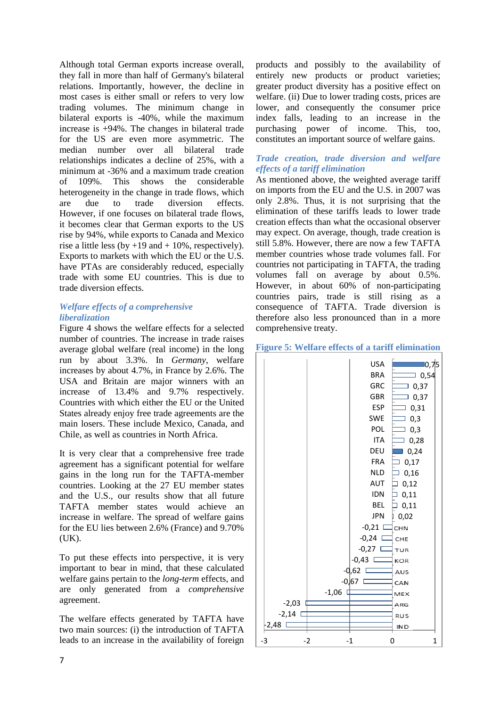Although total German exports increase overall, they fall in more than half of Germany's bilateral relations. Importantly, however, the decline in most cases is either small or refers to very low trading volumes. The minimum change in bilateral exports is -40%, while the maximum increase is +94%. The changes in bilateral trade for the US are even more asymmetric. The median number over all bilateral trade relationships indicates a decline of 25%, with a minimum at -36% and a maximum trade creation of 109%. This shows the considerable heterogeneity in the change in trade flows, which are due to trade diversion effects. However, if one focuses on bilateral trade flows, it becomes clear that German exports to the US rise by 94%, while exports to Canada and Mexico rise a little less (by  $+19$  and  $+ 10\%$ , respectively). Exports to markets with which the EU or the U.S. have PTAs are considerably reduced, especially trade with some EU countries. This is due to trade diversion effects.

## *Welfare effects of a comprehensive liberalization*

Figure 4 shows the welfare effects for a selected number of countries. The increase in trade raises average global welfare (real income) in the long run by about 3.3%. In *Germany*, welfare increases by about 4.7%, in France by 2.6%. The USA and Britain are major winners with an increase of 13.4% and 9.7% respectively. Countries with which either the EU or the United States already enjoy free trade agreements are the main losers. These include Mexico, Canada, and Chile, as well as countries in North Africa.

It is very clear that a comprehensive free trade agreement has a significant potential for welfare gains in the long run for the TAFTA-member countries. Looking at the 27 EU member states and the U.S., our results show that all future TAFTA member states would achieve an increase in welfare. The spread of welfare gains for the EU lies between 2.6% (France) and 9.70%  $(UK).$ 

To put these effects into perspective, it is very important to bear in mind, that these calculated welfare gains pertain to the *long-term* effects, and are only generated from a *comprehensive* agreement.

The welfare effects generated by TAFTA have two main sources: (i) the introduction of TAFTA leads to an increase in the availability of foreign

products and possibly to the availability of entirely new products or product varieties; greater product diversity has a positive effect on welfare. (ii) Due to lower trading costs, prices are lower, and consequently the consumer price index falls, leading to an increase in the purchasing power of income. This, too, constitutes an important source of welfare gains.

# *Trade creation, trade diversion and welfare effects of a tariff elimination*

As mentioned above, the weighted average tariff on imports from the EU and the U.S. in 2007 was only 2.8%. Thus, it is not surprising that the elimination of these tariffs leads to lower trade creation effects than what the occasional observer may expect. On average, though, trade creation is still 5.8%. However, there are now a few TAFTA member countries whose trade volumes fall. For countries not participating in TAFTA, the trading volumes fall on average by about 0.5%. However, in about 60% of non-participating countries pairs, trade is still rising as a consequence of TAFTA. Trade diversion is therefore also less pronounced than in a more comprehensive treaty.

## **Figure 5: Welfare effects of a tariff elimination**

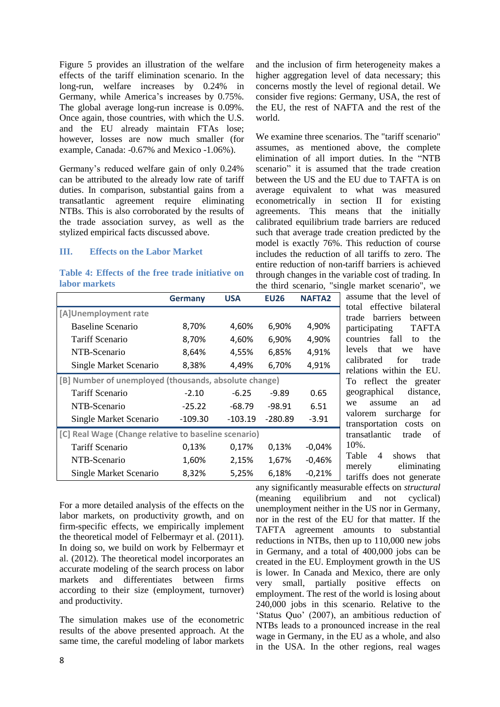Figure 5 provides an illustration of the welfare effects of the tariff elimination scenario. In the long-run, welfare increases by 0.24% in Germany, while America's increases by 0.75%. The global average long-run increase is 0.09%. Once again, those countries, with which the U.S. and the EU already maintain FTAs lose; however, losses are now much smaller (for example, Canada: -0.67% and Mexico -1.06%).

Germany's reduced welfare gain of only 0.24% can be attributed to the already low rate of tariff duties. In comparison, substantial gains from a transatlantic agreement require eliminating NTBs. This is also corroborated by the results of the trade association survey, as well as the stylized empirical facts discussed above.

## **III. Effects on the Labor Market**

## **Table 4: Effects of the free trade initiative on labor markets**

and the inclusion of firm heterogeneity makes a higher aggregation level of data necessary; this concerns mostly the level of regional detail. We consider five regions: Germany, USA, the rest of the EU, the rest of NAFTA and the rest of the world.

We examine three scenarios. The "tariff scenario" assumes, as mentioned above, the complete elimination of all import duties. In the "NTB scenario" it is assumed that the trade creation between the US and the EU due to TAFTA is on average equivalent to what was measured econometrically in section II for existing agreements. This means that the initially calibrated equilibrium trade barriers are reduced such that average trade creation predicted by the model is exactly 76%. This reduction of course includes the reduction of all tariffs to zero. The entire reduction of non-tariff barriers is achieved through changes in the variable cost of trading. In the third scenario, "single market scenario", we

| IUDUL IIIUI IVUJ                                      |                |            | the third scenario, | -81           |
|-------------------------------------------------------|----------------|------------|---------------------|---------------|
|                                                       | <b>Germany</b> | <b>USA</b> | <b>EU26</b>         | <b>NAFTA2</b> |
| [A]Unemployment rate                                  |                |            |                     |               |
| Baseline Scenario                                     | 8,70%          | 4,60%      | 6,90%               | 4,90%         |
| <b>Tariff Scenario</b>                                | 8,70%          | 4,60%      | 6,90%               | 4,90%         |
| NTB-Scenario                                          | 8,64%          | 4,55%      | 6,85%               | 4,91%         |
| Single Market Scenario                                | 8,38%          | 4,49%      | 6,70%               | 4,91%         |
| [B] Number of unemployed (thousands, absolute change) |                |            |                     |               |
| <b>Tariff Scenario</b>                                | $-2.10$        | $-6.25$    | $-9.89$             | 0.65          |
| NTB-Scenario                                          | $-25.22$       | $-68.79$   | $-98.91$            | 6.51          |
| Single Market Scenario                                | $-109.30$      | $-103.19$  | $-280.89$           | $-3.91$       |
| [C] Real Wage (Change relative to baseline scenario)  |                |            |                     |               |
| <b>Tariff Scenario</b>                                | 0,13%          | 0,17%      | 0,13%               | $-0,04%$      |
| NTB-Scenario                                          | 1,60%          | 2,15%      | 1,67%               | -0,46%        |
| Single Market Scenario                                | 8,32%          | 5,25%      | 6,18%               | $-0,21%$      |

assume that the level of total effective bilateral trade barriers between participating TAFTA countries fall to the levels that we have calibrated for trade relations within the EU. To reflect the greater geographical distance, we assume an ad valorem surcharge for transportation costs on transatlantic trade of 10%.

Table 4 shows that merely eliminating tariffs does not generate any significantly measurable effects on *structural* 

For a more detailed analysis of the effects on the labor markets, on productivity growth, and on firm-specific effects, we empirically implement the theoretical model of Felbermayr et al. (2011). In doing so, we build on work by Felbermayr et al. (2012). The theoretical model incorporates an accurate modeling of the search process on labor markets and differentiates between firms according to their size (employment, turnover) and productivity.

The simulation makes use of the econometric results of the above presented approach. At the same time, the careful modeling of labor markets

(meaning equilibrium and not cyclical) unemployment neither in the US nor in Germany, nor in the rest of the EU for that matter. If the TAFTA agreement amounts to substantial reductions in NTBs, then up to 110,000 new jobs in Germany, and a total of 400,000 jobs can be created in the EU. Employment growth in the US is lower. In Canada and Mexico, there are only very small, partially positive effects on employment. The rest of the world is losing about 240,000 jobs in this scenario. Relative to the 'Status Quo' (2007), an ambitious reduction of NTBs leads to a pronounced increase in the real wage in Germany, in the EU as a whole, and also in the USA. In the other regions, real wages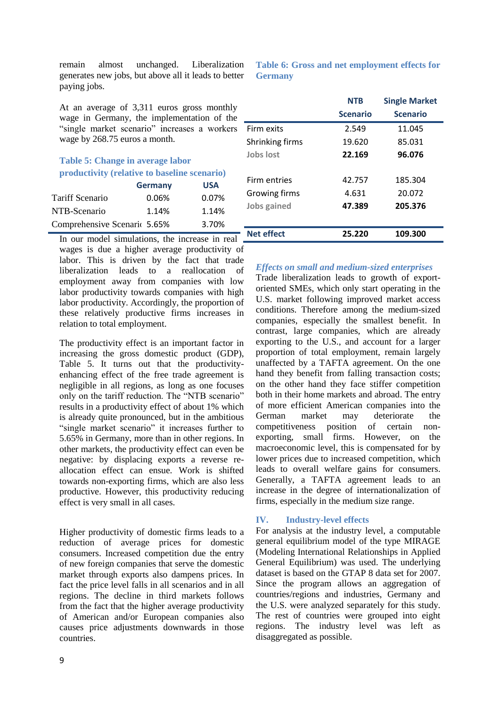remain almost unchanged. Liberalization generates new jobs, but above all it leads to better paying jobs.

At an average of 3,311 euros gross monthly wage in Germany, the implementation of the "single market scenario" increases a workers wage by 268.75 euros a month.

# **Table 5: Change in average labor productivity (relative to baseline scenario) Germany USA**

|                              | _________ |       |
|------------------------------|-----------|-------|
| Tariff Scenario              | 0.06%     | 0.07% |
| NTB-Scenario                 | 1.14%     | 1.14% |
| Comprehensive Scenaric 5.65% |           | 3.70% |

# **Table 6: Gross and net employment effects for Germany**

|                   | <b>NTR</b>      | <b>Single Market</b> |
|-------------------|-----------------|----------------------|
|                   | <b>Scenario</b> | <b>Scenario</b>      |
| Firm exits        | 2.549           | 11.045               |
| Shrinking firms   | 19.620          | 85.031               |
| Jobs lost         | 22.169          | 96.076               |
|                   |                 |                      |
| Firm entries      | 42.757          | 185.304              |
| Growing firms     | 4.631           | 20.072               |
| Jobs gained       | 47.389          | 205.376              |
|                   |                 |                      |
| <b>Net effect</b> | 25.220          | 109.300              |

In our model simulations, the increase in real wages is due a higher average productivity of labor. This is driven by the fact that trade liberalization leads to a reallocation of employment away from companies with low labor productivity towards companies with high labor productivity. Accordingly, the proportion of these relatively productive firms increases in relation to total employment.

The productivity effect is an important factor in increasing the gross domestic product (GDP), Table 5. It turns out that the productivityenhancing effect of the free trade agreement is negligible in all regions, as long as one focuses only on the tariff reduction. The "NTB scenario" results in a productivity effect of about 1% which is already quite pronounced, but in the ambitious "single market scenario" it increases further to 5.65% in Germany, more than in other regions. In other markets, the productivity effect can even be negative: by displacing exports a reverse reallocation effect can ensue. Work is shifted towards non-exporting firms, which are also less productive. However, this productivity reducing effect is very small in all cases.

Higher productivity of domestic firms leads to a reduction of average prices for domestic consumers. Increased competition due the entry of new foreign companies that serve the domestic market through exports also dampens prices. In fact the price level falls in all scenarios and in all regions. The decline in third markets follows from the fact that the higher average productivity of American and/or European companies also causes price adjustments downwards in those countries.

# *Effects on small and medium-sized enterprises*

Trade liberalization leads to growth of exportoriented SMEs, which only start operating in the U.S. market following improved market access conditions. Therefore among the medium-sized companies, especially the smallest benefit. In contrast, large companies, which are already exporting to the U.S., and account for a larger proportion of total employment, remain largely unaffected by a TAFTA agreement. On the one hand they benefit from falling transaction costs; on the other hand they face stiffer competition both in their home markets and abroad. The entry of more efficient American companies into the German market may deteriorate the competitiveness position of certain nonexporting, small firms. However, on the macroeconomic level, this is compensated for by lower prices due to increased competition, which leads to overall welfare gains for consumers. Generally, a TAFTA agreement leads to an increase in the degree of internationalization of firms, especially in the medium size range.

# **IV. Industry-level effects**

For analysis at the industry level, a computable general equilibrium model of the type MIRAGE (Modeling International Relationships in Applied General Equilibrium) was used. The underlying dataset is based on the GTAP 8 data set for 2007. Since the program allows an aggregation of countries/regions and industries, Germany and the U.S. were analyzed separately for this study. The rest of countries were grouped into eight regions. The industry level was left as disaggregated as possible.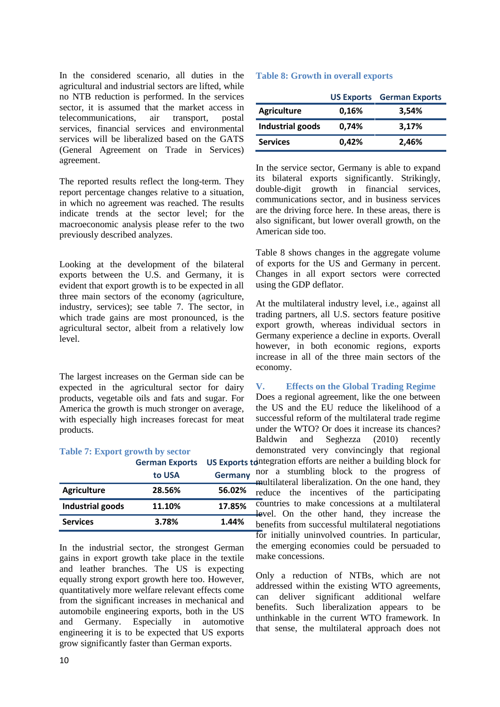In the considered scenario, all duties in the agricultural and industrial sectors are lifted, while no NTB reduction is performed. In the services sector, it is assumed that the market access in telecommunications, air transport, postal services, financial services and environmental services will be liberalized based on the GATS (General Agreement on Trade in Services) agreement.

The reported results reflect the long-term. They report percentage changes relative to a situation, in which no agreement was reached. The results indicate trends at the sector level; for the macroeconomic analysis please refer to the two previously described analyzes.

Looking at the development of the bilateral exports between the U.S. and Germany, it is evident that export growth is to be expected in all three main sectors of the economy (agriculture, industry, services); see table 7. The sector, in which trade gains are most pronounced, is the agricultural sector, albeit from a relatively low level.

The largest increases on the German side can be expected in the agricultural sector for dairy products, vegetable oils and fats and sugar. For America the growth is much stronger on average, with especially high increases forecast for meat products.

#### **Table 7: Export growth by sector**

|                  | German Exports US Exports to |                          |  |
|------------------|------------------------------|--------------------------|--|
|                  | to USA                       | n<br><b>Germany</b><br>n |  |
| Agriculture      | 28.56%                       | 56.02%<br>n              |  |
| Industrial goods | 11.10%                       | c<br>17.85%              |  |
| <b>Services</b>  | 3.78%                        | 1.44%<br>h               |  |

In the industrial sector, the strongest German gains in export growth take place in the textile and leather branches. The US is expecting equally strong export growth here too. However, quantitatively more welfare relevant effects come from the significant increases in mechanical and automobile engineering exports, both in the US and Germany. Especially in automotive engineering it is to be expected that US exports grow significantly faster than German exports.

## **Table 8: Growth in overall exports**

|                    |       | <b>US Exports</b> German Exports |
|--------------------|-------|----------------------------------|
| <b>Agriculture</b> | 0,16% | 3,54%                            |
| Industrial goods   | 0,74% | 3,17%                            |
| <b>Services</b>    | 0,42% | 2,46%                            |

In the service sector, Germany is able to expand its bilateral exports significantly. Strikingly, double-digit growth in financial services, communications sector, and in business services are the driving force here. In these areas, there is also significant, but lower overall growth, on the American side too.

Table 8 shows changes in the aggregate volume of exports for the US and Germany in percent. Changes in all export sectors were corrected using the GDP deflator.

At the multilateral industry level, i.e., against all trading partners, all U.S. sectors feature positive export growth, whereas individual sectors in Germany experience a decline in exports. Overall however, in both economic regions, exports increase in all of the three main sectors of the economy.

## **V. Effects on the Global Trading Regime**

Does a regional agreement, like the one between the US and the EU reduce the likelihood of a successful reform of the multilateral trade regime under the WTO? Or does it increase its chances? Baldwin and Seghezza (2010) recently demonstrated very convincingly that regional integration efforts are neither a building block for nor a stumbling block to the progress of multilateral liberalization. On the one hand, they reduce the incentives of the participating countries to make concessions at a multilateral level. On the other hand, they increase the benefits from successful multilateral negotiations for initially uninvolved countries. In particular, the emerging economies could be persuaded to make concessions.

Only a reduction of NTBs, which are not addressed within the existing WTO agreements, can deliver significant additional welfare benefits. Such liberalization appears to be unthinkable in the current WTO framework. In that sense, the multilateral approach does not